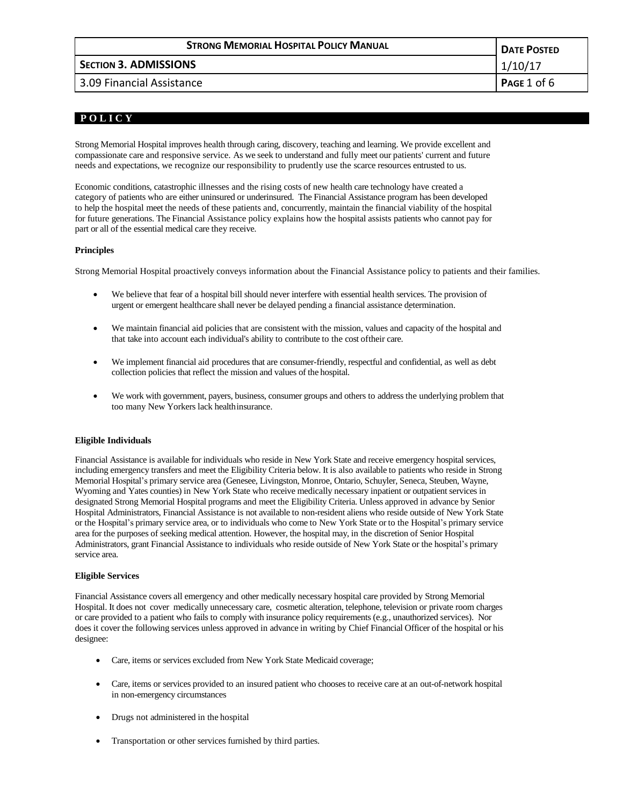| <b>STRONG MEMORIAL HOSPITAL POLICY MANUAL</b> | <b>DATE POSTED</b> |
|-----------------------------------------------|--------------------|
| <b>SECTION 3. ADMISSIONS</b>                  | 1/10/17            |
| 3.09 Financial Assistance                     | PAGE 1 of 6        |

# **P O L I C Y**

Strong Memorial Hospital improves health through caring, discovery, teaching and learning. We provide excellent and compassionate care and responsive service. As we seek to understand and fully meet our patients' current and future needs and expectations, we recognize our responsibility to prudently use the scarce resources entrusted to us.

Economic conditions, catastrophic illnesses and the rising costs of new health care technology have created a category of patients who are either uninsured or underinsured. The Financial Assistance program has been developed to help the hospital meet the needs of these patients and, concurrently, maintain the financial viability of the hospital for future generations. The Financial Assistance policy explains how the hospital assists patients who cannot pay for part or all of the essential medical care they receive.

# **Principles**

Strong Memorial Hospital proactively conveys information about the Financial Assistance policy to patients and their families.

- We believe that fear of a hospital bill should never interfere with essential health services. The provision of urgent or emergent healthcare shall never be delayed pending a financial assistance determination.
- We maintain financial aid policies that are consistent with the mission, values and capacity of the hospital and that take into account each individual's ability to contribute to the cost oftheir care.
- We implement financial aid procedures that are consumer-friendly, respectful and confidential, as well as debt collection policies that reflect the mission and values of the hospital.
- We work with government, payers, business, consumer groups and others to address the underlying problem that too many New Yorkers lack healthinsurance.

# **Eligible Individuals**

Financial Assistance is available for individuals who reside in New York State and receive emergency hospital services, including emergency transfers and meet the Eligibility Criteria below. It is also available to patients who reside in Strong Memorial Hospital's primary service area (Genesee, Livingston, Monroe, Ontario, Schuyler, Seneca, Steuben, Wayne, Wyoming and Yates counties) in New York State who receive medically necessary inpatient or outpatient services in designated Strong Memorial Hospital programs and meet the Eligibility Criteria. Unless approved in advance by Senior Hospital Administrators, Financial Assistance is not available to non-resident aliens who reside outside of New York State or the Hospital's primary service area, or to individuals who come to New York State or to the Hospital's primary service area for the purposes of seeking medical attention. However, the hospital may, in the discretion of Senior Hospital Administrators, grant Financial Assistance to individuals who reside outside of New York State or the hospital's primary service area.

# **Eligible Services**

Financial Assistance covers all emergency and other medically necessary hospital care provided by Strong Memorial Hospital. It does not cover medically unnecessary care, cosmetic alteration, telephone, television or private room charges or care provided to a patient who fails to comply with insurance policy requirements (e.g., unauthorized services). Nor does it cover the following services unless approved in advance in writing by Chief Financial Officer of the hospital or his designee:

- Care, items or services excluded from New York State Medicaid coverage;
- Care, items or services provided to an insured patient who chooses to receive care at an out-of-network hospital in non-emergency circumstances
- Drugs not administered in the hospital
- Transportation or other services furnished by third parties.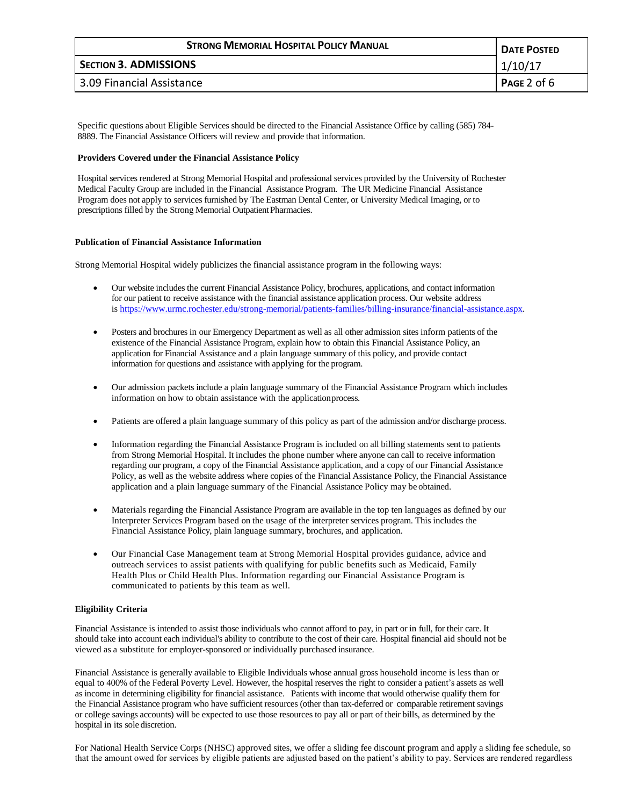| <b>STRONG MEMORIAL HOSPITAL POLICY MANUAL</b> | <b>DATE POSTED</b> |
|-----------------------------------------------|--------------------|
| <b>SECTION 3. ADMISSIONS</b>                  | 1/10/17            |
| 3.09 Financial Assistance                     | PAGE 2 of $6$      |

Specific questions about Eligible Services should be directed to the Financial Assistance Office by calling (585) 784- 8889. The Financial Assistance Officers will review and provide that information.

## **Providers Covered under the Financial Assistance Policy**

Hospital services rendered at Strong Memorial Hospital and professional services provided by the University of Rochester Medical Faculty Group are included in the Financial Assistance Program. The UR Medicine Financial Assistance Program does not apply to services furnished by The Eastman Dental Center, or University Medical Imaging, or to prescriptions filled by the Strong Memorial OutpatientPharmacies.

#### **Publication of Financial Assistance Information**

Strong Memorial Hospital widely publicizes the financial assistance program in the following ways:

- Our website includes the current Financial Assistance Policy, brochures, applications, and contact information for our patient to receive assistance with the financial assistance application process. Our website address is [https://www.urmc.rochester.edu/strong-memorial/patients-families/billing-insurance/financial-assistance.aspx.](https://www.urmc.rochester.edu/strong-memorial/patients-families/billing-insurance/financial-assistance.aspx)
- Posters and brochures in our Emergency Department as well as all other admission sites inform patients of the existence of the Financial Assistance Program, explain how to obtain this Financial Assistance Policy, an application for Financial Assistance and a plain language summary of this policy, and provide contact information for questions and assistance with applying for the program.
- Our admission packets include a plain language summary of the Financial Assistance Program which includes information on how to obtain assistance with the applicationprocess.
- Patients are offered a plain language summary of this policy as part of the admission and/or discharge process.
- Information regarding the Financial Assistance Program is included on all billing statements sent to patients from Strong Memorial Hospital. It includes the phone number where anyone can call to receive information regarding our program, a copy of the Financial Assistance application, and a copy of our Financial Assistance Policy, as well as the website address where copies of the Financial Assistance Policy, the Financial Assistance application and a plain language summary of the Financial Assistance Policy may be obtained.
- Materials regarding the Financial Assistance Program are available in the top ten languages as defined by our Interpreter Services Program based on the usage of the interpreter services program. This includes the Financial Assistance Policy, plain language summary, brochures, and application.
- Our Financial Case Management team at Strong Memorial Hospital provides guidance, advice and outreach services to assist patients with qualifying for public benefits such as Medicaid, Family Health Plus or Child Health Plus. Information regarding our Financial Assistance Program is communicated to patients by this team as well.

## **Eligibility Criteria**

Financial Assistance is intended to assist those individuals who cannot afford to pay, in part or in full, for their care. It should take into account each individual's ability to contribute to the cost of their care. Hospital financial aid should not be viewed as a substitute for employer-sponsored or individually purchased insurance.

Financial Assistance is generally available to Eligible Individuals whose annual gross household income is less than or equal to 400% of the Federal Poverty Level. However, the hospital reserves the right to consider a patient's assets as well as income in determining eligibility for financial assistance. Patients with income that would otherwise qualify them for the Financial Assistance program who have sufficient resources (other than tax-deferred or comparable retirement savings or college savings accounts) will be expected to use those resources to pay all or part of their bills, as determined by the hospital in its sole discretion.

For National Health Service Corps (NHSC) approved sites, we offer a sliding fee discount program and apply a sliding fee schedule, so that the amount owed for services by eligible patients are adjusted based on the patient's ability to pay. Services are rendered regardless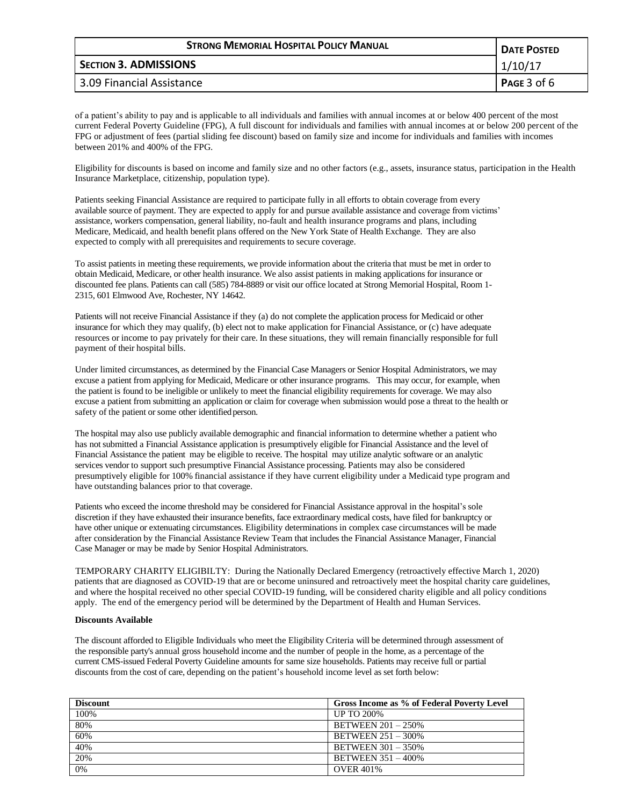| <b>STRONG MEMORIAL HOSPITAL POLICY MANUAL</b> | <b>DATE POSTED</b> |
|-----------------------------------------------|--------------------|
| <b>SECTION 3. ADMISSIONS</b>                  | 1/10/17            |
| 3.09 Financial Assistance                     | PAGE 3 of 6        |

of a patient's ability to pay and is applicable to all individuals and families with annual incomes at or below 400 percent of the most current Federal Poverty Guideline (FPG), A full discount for individuals and families with annual incomes at or below 200 percent of the FPG or adjustment of fees (partial sliding fee discount) based on family size and income for individuals and families with incomes between 201% and 400% of the FPG.

Eligibility for discounts is based on income and family size and no other factors (e.g., assets, insurance status, participation in the Health Insurance Marketplace, citizenship, population type).

Patients seeking Financial Assistance are required to participate fully in all efforts to obtain coverage from every available source of payment. They are expected to apply for and pursue available assistance and coverage from victims' assistance, workers compensation, general liability, no-fault and health insurance programs and plans, including Medicare, Medicaid, and health benefit plans offered on the New York State of Health Exchange. They are also expected to comply with all prerequisites and requirements to secure coverage.

To assist patients in meeting these requirements, we provide information about the criteria that must be met in order to obtain Medicaid, Medicare, or other health insurance. We also assist patients in making applications for insurance or discounted fee plans. Patients can call (585) 784-8889 or visit our office located at Strong Memorial Hospital, Room 1- 2315, 601 Elmwood Ave, Rochester, NY 14642.

Patients will not receive Financial Assistance if they (a) do not complete the application process for Medicaid or other insurance for which they may qualify, (b) elect not to make application for Financial Assistance, or (c) have adequate resources or income to pay privately for their care. In these situations, they will remain financially responsible for full payment of their hospital bills.

Under limited circumstances, as determined by the Financial Case Managers or Senior Hospital Administrators, we may excuse a patient from applying for Medicaid, Medicare or other insurance programs. This may occur, for example, when the patient is found to be ineligible or unlikely to meet the financial eligibility requirements for coverage. We may also excuse a patient from submitting an application or claim for coverage when submission would pose a threat to the health or safety of the patient or some other identified person.

The hospital may also use publicly available demographic and financial information to determine whether a patient who has not submitted a Financial Assistance application is presumptively eligible for Financial Assistance and the level of Financial Assistance the patient may be eligible to receive. The hospital may utilize analytic software or an analytic services vendor to support such presumptive Financial Assistance processing. Patients may also be considered presumptively eligible for 100% financial assistance if they have current eligibility under a Medicaid type program and have outstanding balances prior to that coverage.

Patients who exceed the income threshold may be considered for Financial Assistance approval in the hospital's sole discretion if they have exhausted their insurance benefits, face extraordinary medical costs, have filed for bankruptcy or have other unique or extenuating circumstances. Eligibility determinations in complex case circumstances will be made after consideration by the Financial Assistance Review Team that includes the Financial Assistance Manager, Financial Case Manager or may be made by Senior Hospital Administrators.

 TEMPORARY CHARITY ELIGIBILTY: During the Nationally Declared Emergency (retroactively effective March 1, 2020) patients that are diagnosed as COVID-19 that are or become uninsured and retroactively meet the hospital charity care guidelines, and where the hospital received no other special COVID-19 funding, will be considered charity eligible and all policy conditions apply. The end of the emergency period will be determined by the Department of Health and Human Services.

## **Discounts Available**

The discount afforded to Eligible Individuals who meet the Eligibility Criteria will be determined through assessment of the responsible party's annual gross household income and the number of people in the home, as a percentage of the current CMS-issued Federal Poverty Guideline amounts for same size households. Patients may receive full or partial discounts from the cost of care, depending on the patient's household income level as set forth below:

| <b>Discount</b> | Gross Income as % of Federal Poverty Level |
|-----------------|--------------------------------------------|
| 100%            | <b>UP TO 200%</b>                          |
| 80%             | <b>BETWEEN 201 - 250%</b>                  |
| 60%             | <b>BETWEEN 251 - 300%</b>                  |
| 40%             | <b>BETWEEN 301 - 350%</b>                  |
| 20%             | <b>BETWEEN 351 - 400%</b>                  |
| 0%              | <b>OVER 401%</b>                           |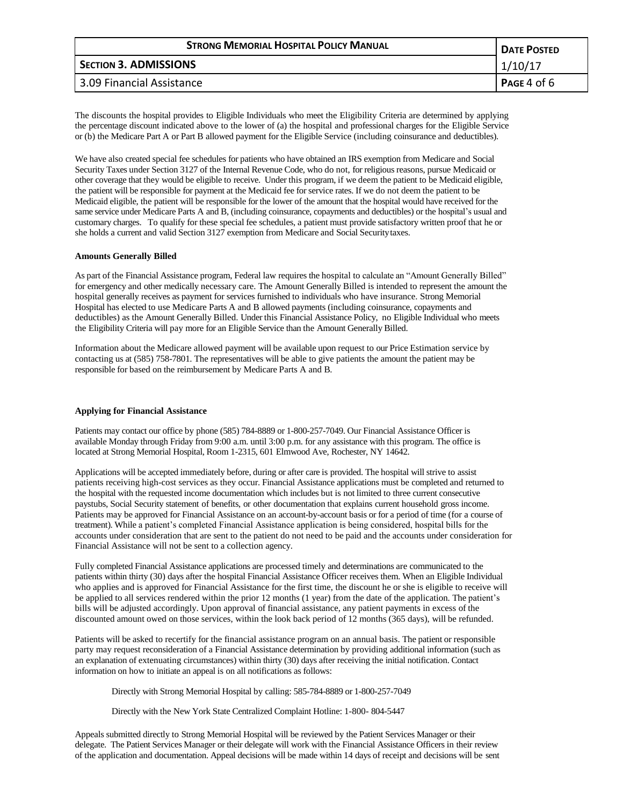| <b>STRONG MEMORIAL HOSPITAL POLICY MANUAL</b> | <b>DATE POSTED</b> |
|-----------------------------------------------|--------------------|
| <b>SECTION 3. ADMISSIONS</b>                  | 1/10/17            |
| 3.09 Financial Assistance                     | PAGE 4 of $6$      |

The discounts the hospital provides to Eligible Individuals who meet the Eligibility Criteria are determined by applying the percentage discount indicated above to the lower of (a) the hospital and professional charges for the Eligible Service or (b) the Medicare Part A or Part B allowed payment for the Eligible Service (including coinsurance and deductibles).

We have also created special fee schedules for patients who have obtained an IRS exemption from Medicare and Social Security Taxes under Section 3127 of the Internal Revenue Code, who do not, for religious reasons, pursue Medicaid or other coverage that they would be eligible to receive. Under this program, if we deem the patient to be Medicaid eligible, the patient will be responsible for payment at the Medicaid fee for service rates. If we do not deem the patient to be Medicaid eligible, the patient will be responsible for the lower of the amount that the hospital would have received for the same service under Medicare Parts A and B, (including coinsurance, copayments and deductibles) or the hospital's usual and customary charges. To qualify for these special fee schedules, a patient must provide satisfactory written proof that he or she holds a current and valid Section 3127 exemption from Medicare and Social Securitytaxes.

## **Amounts Generally Billed**

As part of the Financial Assistance program, Federal law requires the hospital to calculate an "Amount Generally Billed" for emergency and other medically necessary care. The Amount Generally Billed is intended to represent the amount the hospital generally receives as payment for services furnished to individuals who have insurance. Strong Memorial Hospital has elected to use Medicare Parts A and B allowed payments (including coinsurance, copayments and deductibles) as the Amount Generally Billed. Under this Financial Assistance Policy, no Eligible Individual who meets the Eligibility Criteria will pay more for an Eligible Service than the Amount Generally Billed.

Information about the Medicare allowed payment will be available upon request to our Price Estimation service by contacting us at (585) 758-7801. The representatives will be able to give patients the amount the patient may be responsible for based on the reimbursement by Medicare Parts A and B.

## **Applying for Financial Assistance**

Patients may contact our office by phone (585) 784-8889 or 1-800-257-7049. Our Financial Assistance Officer is available Monday through Friday from 9:00 a.m. until 3:00 p.m. for any assistance with this program. The office is located at Strong Memorial Hospital, Room 1-2315, 601 Elmwood Ave, Rochester, NY 14642.

Applications will be accepted immediately before, during or after care is provided. The hospital will strive to assist patients receiving high-cost services as they occur. Financial Assistance applications must be completed and returned to the hospital with the requested income documentation which includes but is not limited to three current consecutive paystubs, Social Security statement of benefits, or other documentation that explains current household gross income. Patients may be approved for Financial Assistance on an account-by-account basis or for a period of time (for a course of treatment). While a patient's completed Financial Assistance application is being considered, hospital bills for the accounts under consideration that are sent to the patient do not need to be paid and the accounts under consideration for Financial Assistance will not be sent to a collection agency.

Fully completed Financial Assistance applications are processed timely and determinations are communicated to the patients within thirty (30) days after the hospital Financial Assistance Officer receives them. When an Eligible Individual who applies and is approved for Financial Assistance for the first time, the discount he or she is eligible to receive will be applied to all services rendered within the prior 12 months (1 year) from the date of the application. The patient's bills will be adjusted accordingly. Upon approval of financial assistance, any patient payments in excess of the discounted amount owed on those services, within the look back period of 12 months (365 days), will be refunded.

Patients will be asked to recertify for the financial assistance program on an annual basis. The patient or responsible party may request reconsideration of a Financial Assistance determination by providing additional information (such as an explanation of extenuating circumstances) within thirty (30) days after receiving the initial notification. Contact information on how to initiate an appeal is on all notifications as follows:

Directly with Strong Memorial Hospital by calling: 585-784-8889 or 1-800-257-7049

Directly with the New York State Centralized Complaint Hotline: 1-800- 804-5447

Appeals submitted directly to Strong Memorial Hospital will be reviewed by the Patient Services Manager or their delegate. The Patient Services Manager or their delegate will work with the Financial Assistance Officers in their review of the application and documentation. Appeal decisions will be made within 14 days of receipt and decisions will be sent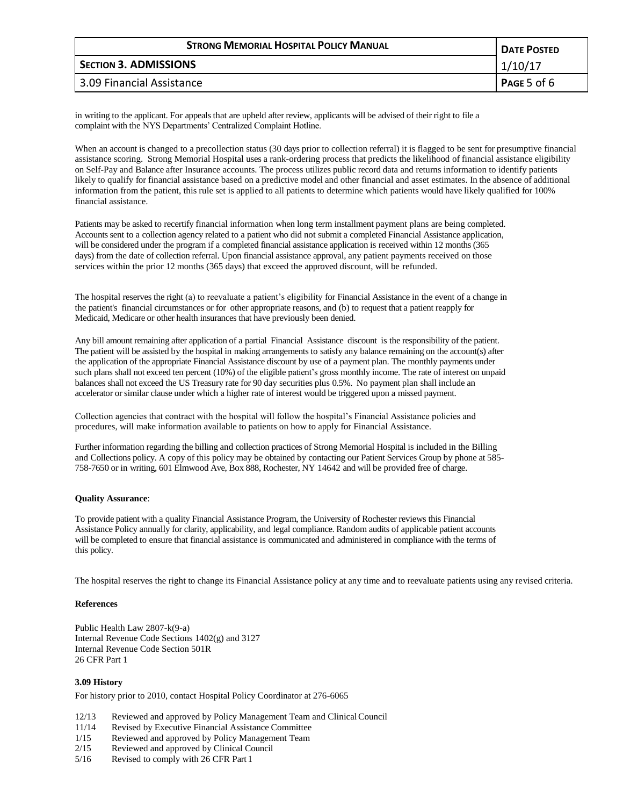| <b>STRONG MEMORIAL HOSPITAL POLICY MANUAL</b> | <b>DATE POSTED</b> |
|-----------------------------------------------|--------------------|
| <b>SECTION 3. ADMISSIONS</b>                  | 1/10/17            |
| 3.09 Financial Assistance                     | Page 5 of 6        |

in writing to the applicant. For appeals that are upheld after review, applicants will be advised of their right to file a complaint with the NYS Departments' Centralized Complaint Hotline.

When an account is changed to a precollection status (30 days prior to collection referral) it is flagged to be sent for presumptive financial assistance scoring. Strong Memorial Hospital uses a rank-ordering process that predicts the likelihood of financial assistance eligibility on Self-Pay and Balance after Insurance accounts. The process utilizes public record data and returns information to identify patients likely to qualify for financial assistance based on a predictive model and other financial and asset estimates. In the absence of additional information from the patient, this rule set is applied to all patients to determine which patients would have likely qualified for 100% financial assistance.

Patients may be asked to recertify financial information when long term installment payment plans are being completed. Accounts sent to a collection agency related to a patient who did not submit a completed Financial Assistance application, will be considered under the program if a completed financial assistance application is received within 12 months (365 days) from the date of collection referral. Upon financial assistance approval, any patient payments received on those services within the prior 12 months (365 days) that exceed the approved discount, will be refunded.

The hospital reserves the right (a) to reevaluate a patient's eligibility for Financial Assistance in the event of a change in the patient's financial circumstances or for other appropriate reasons, and (b) to request that a patient reapply for Medicaid, Medicare or other health insurances that have previously been denied.

Any bill amount remaining after application of a partial Financial Assistance discount is the responsibility of the patient. The patient will be assisted by the hospital in making arrangements to satisfy any balance remaining on the account(s) after the application of the appropriate Financial Assistance discount by use of a payment plan. The monthly payments under such plans shall not exceed ten percent (10%) of the eligible patient's gross monthly income. The rate of interest on unpaid balances shall not exceed the US Treasury rate for 90 day securities plus 0.5%. No payment plan shall include an accelerator or similar clause under which a higher rate of interest would be triggered upon a missed payment.

Collection agencies that contract with the hospital will follow the hospital's Financial Assistance policies and procedures, will make information available to patients on how to apply for Financial Assistance.

Further information regarding the billing and collection practices of Strong Memorial Hospital is included in the Billing and Collections policy. A copy of this policy may be obtained by contacting our Patient Services Group by phone at 585- 758-7650 or in writing, 601 Elmwood Ave, Box 888, Rochester, NY 14642 and will be provided free of charge.

## **Quality Assurance**:

To provide patient with a quality Financial Assistance Program, the University of Rochester reviews this Financial Assistance Policy annually for clarity, applicability, and legal compliance. Random audits of applicable patient accounts will be completed to ensure that financial assistance is communicated and administered in compliance with the terms of this policy.

The hospital reserves the right to change its Financial Assistance policy at any time and to reevaluate patients using any revised criteria.

## **References**

Public Health Law 2807-k(9-a) Internal Revenue Code Sections 1402(g) and 3127 Internal Revenue Code Section 501R 26 CFR Part 1

## **3.09 History**

For history prior to 2010, contact Hospital Policy Coordinator at 276-6065

- 12/13 Reviewed and approved by Policy Management Team and ClinicalCouncil
- 11/14 Revised by Executive Financial Assistance Committee
- 1/15 Reviewed and approved by Policy Management Team
- 2/15 Reviewed and approved by Clinical Council
- 5/16 Revised to comply with 26 CFR Part 1